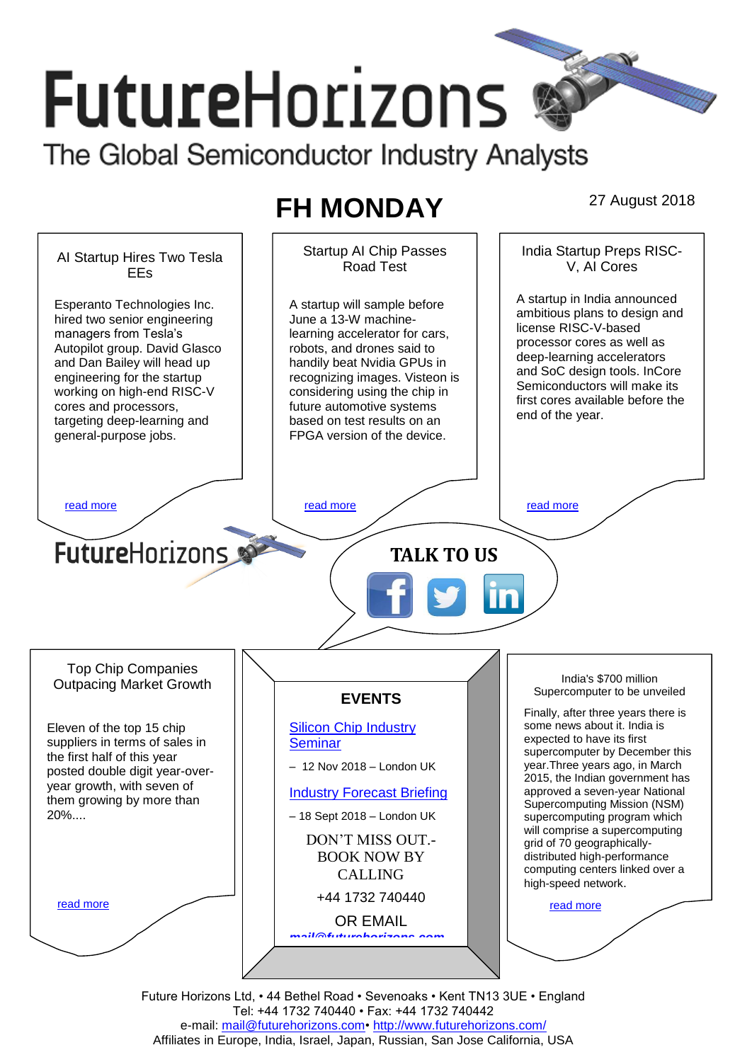# **FutureHorizons** The Global Semiconductor Industry Analysts

## **FH MONDAY** 27 August 2018

Startup AI Chip Passes India Startup Preps RISC-AI Startup Hires Two Tesla Road Test V, AI Cores EEs A startup in India announced A startup will sample before Esperanto Technologies Inc. ambitious plans to design and hired two senior engineering June a 13-W machinelicense RISC-V-based managers from Tesla's learning accelerator for cars, processor cores as well as Autopilot group. David Glasco robots, and drones said to deep-learning accelerators and Dan Bailey will head up handily beat Nvidia GPUs in and SoC design tools. InCore engineering for the startup recognizing images. Visteon is Semiconductors will make its working on high-end RISC-V considering using the chip in first cores available before the future automotive systems cores and processors, end of the year. targeting deep-learning and based on test results on an FPGA version of the device. general-purpose jobs. [read more](#page-1-1) that the set of the read more that the read more that the read more that  $r$ **Future**Horizons **TALK TO US** Top Chip Companies India's \$700 million Outpacing Market Growth Supercomputer to be unveiled **EVENTS** Finally, after three years there is [Silicon Chip Industry](http://www.futurehorizons.com/page/12/silicon-chip-training)  some news about it. India is Eleven of the top 15 chip expected to have its first suppliers in terms of sales in **[Seminar](http://www.futurehorizons.com/page/12/silicon-chip-training)** supercomputer by December this the first half of this year year.Three years ago, in March – 12 Nov 2018 – London UK posted double digit year-over-2015, the Indian government has year growth, with seven of approved a seven-year National [Industry Forecast Briefing](http://www.futurehorizons.com/page/13/Semiconductor-Market-Forecast-Seminar) them growing by more than Supercomputing Mission (NSM) 20%....– 18 Sept 2018 – London UK supercomputing program which will comprise a supercomputing DON'T MISS OUT. grid of 70 geographically-BOOK NOW BY distributed high-performance computing centers linked over a CALLING high-speed network. +44 1732 740440 [read more](#page-1-3) [read more](#page-1-4) OR EMAIL *[mail@futurehorizons.com](mailto:mail@futurehorizons.com)*

> Future Horizons Ltd, • 44 Bethel Road • Sevenoaks • Kent TN13 3UE • England Tel: +44 1732 740440 • Fax: +44 1732 740442 e-mail: mail@futurehorizons.com• http://www.futurehorizons.com/ Affiliates in Europe, India, Israel, Japan, Russian, San Jose California, USA